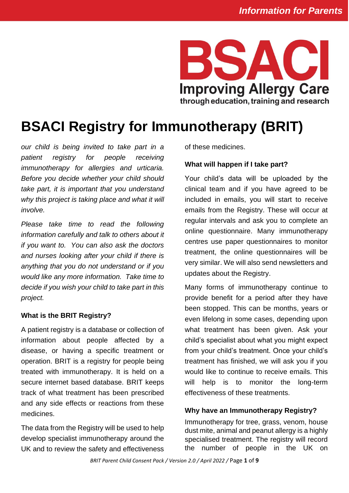

*our child is being invited to take part in a patient registry for people receiving immunotherapy for allergies and urticaria. Before you decide whether your child should take part, it is important that you understand why this project is taking place and what it will involve.* 

*Please take time to read the following information carefully and talk to others about it if you want to. You can also ask the doctors and nurses looking after your child if there is anything that you do not understand or if you would like any more information. Take time to decide if you wish your child to take part in this project.*

## **What is the BRIT Registry?**

A patient registry is a database or collection of information about people affected by a disease, or having a specific treatment or operation. BRIT is a registry for people being treated with immunotherapy. It is held on a secure internet based database. BRIT keeps track of what treatment has been prescribed and any side effects or reactions from these medicines.

The data from the Registry will be used to help develop specialist immunotherapy around the UK and to review the safety and effectiveness

of these medicines.

## **What will happen if I take part?**

Your child's data will be uploaded by the clinical team and if you have agreed to be included in emails, you will start to receive emails from the Registry. These will occur at regular intervals and ask you to complete an online questionnaire. Many immunotherapy centres use paper questionnaires to monitor treatment, the online questionnaires will be very similar. We will also send newsletters and updates about the Registry.

Many forms of immunotherapy continue to provide benefit for a period after they have been stopped. This can be months, years or even lifelong in some cases, depending upon what treatment has been given. Ask your child's specialist about what you might expect from your child's treatment. Once your child's treatment has finished, we will ask you if you would like to continue to receive emails. This will help is to monitor the long-term effectiveness of these treatments.

# **Why have an Immunotherapy Registry?**

Immunotherapy for tree, grass, venom, house dust mite, animal and peanut allergy is a highly specialised treatment. The registry will record the number of people in the UK on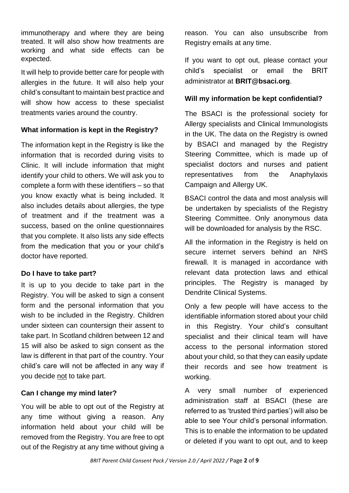immunotherapy and where they are being treated. It will also show how treatments are working and what side effects can be expected.

It will help to provide better care for people with allergies in the future. It will also help your child's consultant to maintain best practice and will show how access to these specialist treatments varies around the country.

# **What information is kept in the Registry?**

The information kept in the Registry is like the information that is recorded during visits to Clinic. It will include information that might identify your child to others. We will ask you to complete a form with these identifiers – so that you know exactly what is being included. It also includes details about allergies, the type of treatment and if the treatment was a success, based on the online questionnaires that you complete. It also lists any side effects from the medication that you or your child's doctor have reported.

# **Do I have to take part?**

It is up to you decide to take part in the Registry. You will be asked to sign a consent form and the personal information that you wish to be included in the Registry. Children under sixteen can countersign their assent to take part. In Scotland children between 12 and 15 will also be asked to sign consent as the law is different in that part of the country. Your child's care will not be affected in any way if you decide not to take part.

# **Can I change my mind later?**

You will be able to opt out of the Registry at any time without giving a reason. Any information held about your child will be removed from the Registry. You are free to opt out of the Registry at any time without giving a

reason. You can also unsubscribe from Registry emails at any time.

If you want to opt out, please contact your child's specialist or email the BRIT administrator at **BRIT@bsaci.org**.

# **Will my information be kept confidential?**

The BSACI is the professional society for Allergy specialists and Clinical Immunologists in the UK. The data on the Registry is owned by BSACI and managed by the Registry Steering Committee, which is made up of specialist doctors and nurses and patient representatives from the Anaphylaxis Campaign and Allergy UK.

BSACI control the data and most analysis will be undertaken by specialists of the Registry Steering Committee. Only anonymous data will be downloaded for analysis by the RSC.

All the information in the Registry is held on secure internet servers behind an NHS firewall. It is managed in accordance with relevant data protection laws and ethical principles. The Registry is managed by Dendrite Clinical Systems.

Only a few people will have access to the identifiable information stored about your child in this Registry. Your child's consultant specialist and their clinical team will have access to the personal information stored about your child, so that they can easily update their records and see how treatment is working.

A very small number of experienced administration staff at BSACI (these are referred to as 'trusted third parties') will also be able to see Your child's personal information. This is to enable the information to be updated or deleted if you want to opt out, and to keep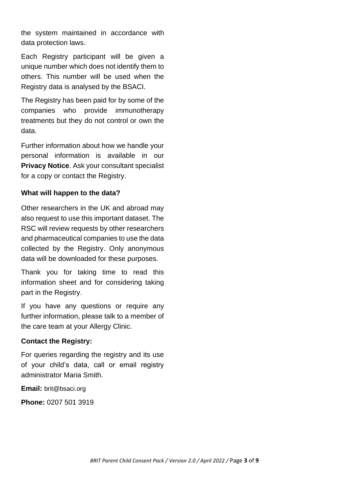the system maintained in accordance with data protection laws.

Each Registry participant will be given a unique number which does not identify them to others. This number will be used when the Registry data is analysed by the BSACI.

The Registry has been paid for by some of the companies who provide immunotherapy treatments but they do not control or own the data.

Further information about how we handle your personal information is available in our **Privacy Notice**. Ask your consultant specialist for a copy or contact the Registry.

# **What will happen to the data?**

Other researchers in the UK and abroad may also request to use this important dataset. The RSC will review requests by other researchers and pharmaceutical companies to use the data collected by the Registry. Only anonymous data will be downloaded for these purposes.

Thank you for taking time to read this information sheet and for considering taking part in the Registry.

If you have any questions or require any further information, please talk to a member of the care team at your Allergy Clinic.

## **Contact the Registry:**

For queries regarding the registry and its use of your child's data, call or email registry administrator Maria Smith.

**Email:** [brit@bsaci.org](mailto:brit@bsaci.org)

**Phone:** 0207 501 3919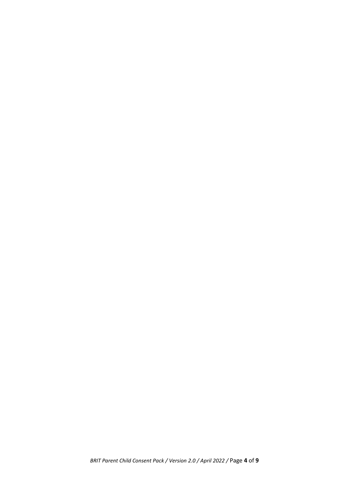*BRIT Parent Child Consent Pack / Version 2.0 / April 2022 /* Page **4** of **9**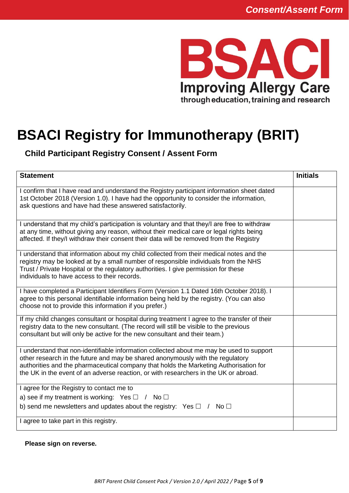

# **Child Participant Registry Consent / Assent Form**

| <b>Statement</b>                                                                                                                                                                                                                                                                                                                                            | <b>Initials</b> |
|-------------------------------------------------------------------------------------------------------------------------------------------------------------------------------------------------------------------------------------------------------------------------------------------------------------------------------------------------------------|-----------------|
| I confirm that I have read and understand the Registry participant information sheet dated<br>1st October 2018 (Version 1.0). I have had the opportunity to consider the information,<br>ask questions and have had these answered satisfactorily.                                                                                                          |                 |
| I understand that my child's participation is voluntary and that they/I are free to withdraw<br>at any time, without giving any reason, without their medical care or legal rights being<br>affected. If they/I withdraw their consent their data will be removed from the Registry                                                                         |                 |
| I understand that information about my child collected from their medical notes and the<br>registry may be looked at by a small number of responsible individuals from the NHS<br>Trust / Private Hospital or the regulatory authorities. I give permission for these<br>individuals to have access to their records.                                       |                 |
| I have completed a Participant Identifiers Form (Version 1.1 Dated 16th October 2018). I<br>agree to this personal identifiable information being held by the registry. (You can also<br>choose not to provide this information if you prefer.)                                                                                                             |                 |
| If my child changes consultant or hospital during treatment I agree to the transfer of their<br>registry data to the new consultant. (The record will still be visible to the previous<br>consultant but will only be active for the new consultant and their team.)                                                                                        |                 |
| I understand that non-identifiable information collected about me may be used to support<br>other research in the future and may be shared anonymously with the regulatory<br>authorities and the pharmaceutical company that holds the Marketing Authorisation for<br>the UK in the event of an adverse reaction, or with researchers in the UK or abroad. |                 |
| I agree for the Registry to contact me to                                                                                                                                                                                                                                                                                                                   |                 |
| a) see if my treatment is working: Yes $\Box$ / No $\Box$<br>b) send me newsletters and updates about the registry: Yes $\Box$ / No $\Box$                                                                                                                                                                                                                  |                 |
| I agree to take part in this registry.                                                                                                                                                                                                                                                                                                                      |                 |

### **Please sign on reverse.**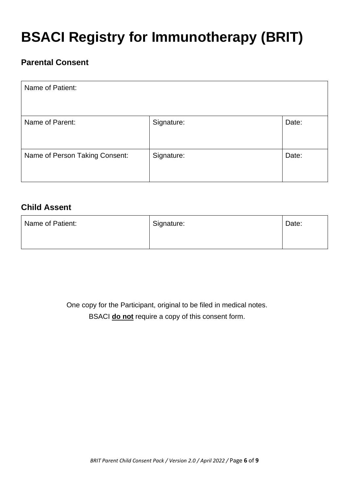# **Parental Consent**

| Name of Patient:               |            |       |
|--------------------------------|------------|-------|
| Name of Parent:                | Signature: | Date: |
| Name of Person Taking Consent: | Signature: | Date: |

# **Child Assent**

| Name of Patient: | Signature: | Date: |
|------------------|------------|-------|
|                  |            |       |

One copy for the Participant, original to be filed in medical notes. BSACI **do not** require a copy of this consent form.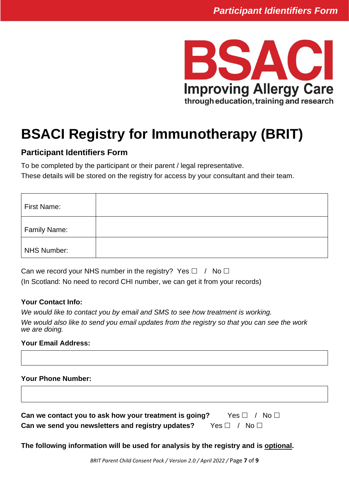

# **Participant Identifiers Form**

To be completed by the participant or their parent / legal representative.

These details will be stored on the registry for access by your consultant and their team.

| First Name:         |  |
|---------------------|--|
| <b>Family Name:</b> |  |
| NHS Number:         |  |

Can we record your NHS number in the registry? Yes  $\Box$  / No  $\Box$ (In Scotland: No need to record CHI number, we can get it from your records)

# **Your Contact Info:**

*We would like to contact you by email and SMS to see how treatment is working. We would also like to send you email updates from the registry so that you can see the work we are doing.*

# **Your Email Address:**

## **Your Phone Number:**

| Can we contact you to ask how your treatment is going? | $Yes \Box$ / $No \Box$ |
|--------------------------------------------------------|------------------------|
| Can we send you newsletters and registry updates?      | $Yes \Box$ / $No \Box$ |

**The following information will be used for analysis by the registry and is optional.**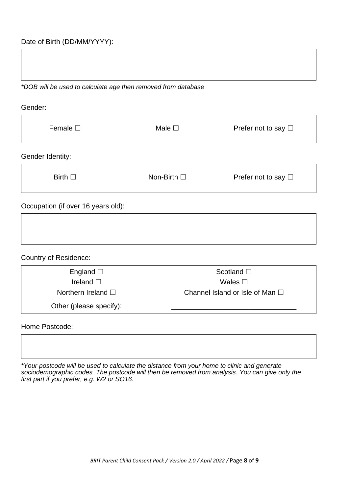*\*DOB will be used to calculate age then removed from database*

Gender:

| Female $\square$ | Male $\square$ | Prefer not to say $\square$ |
|------------------|----------------|-----------------------------|
|                  |                |                             |

Gender Identity:

| Birth L | Non-Birth $\square$ | Prefer not to say $\square$ |
|---------|---------------------|-----------------------------|
|         |                     |                             |

Occupation (if over 16 years old):

Country of Residence:

| England $\square$       | Scotland $\square$                   |
|-------------------------|--------------------------------------|
| Ireland $\square$       | Wales $\square$                      |
| Northern Ireland $\Box$ | Channel Island or Isle of Man $\Box$ |
| Other (please specify): |                                      |
|                         |                                      |

Home Postcode:

*\*Your postcode will be used to calculate the distance from your home to clinic and generate sociodemographic codes. The postcode will then be removed from analysis. You can give only the first part if you prefer, e.g. W2 or SO16.*